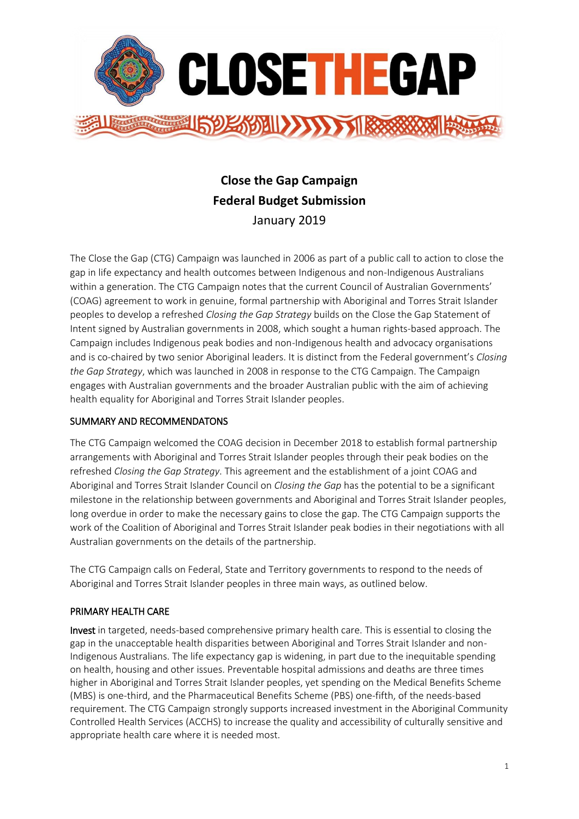

# **Close the Gap Campaign Federal Budget Submission** January 2019

The Close the Gap (CTG) Campaign was launched in 2006 as part of a public call to action to close the gap in life expectancy and health outcomes between Indigenous and non-Indigenous Australians within a generation. The CTG Campaign notes that the current Council of Australian Governments' (COAG) agreement to work in genuine, formal partnership with Aboriginal and Torres Strait Islander peoples to develop a refreshed *Closing the Gap Strategy* builds on the Close the Gap Statement of Intent signed by Australian governments in 2008, which sought a human rights-based approach. The Campaign includes Indigenous peak bodies and non-Indigenous health and advocacy organisations and is co-chaired by two senior Aboriginal leaders. It is distinct from the Federal government's *Closing the Gap Strategy*, which was launched in 2008 in response to the CTG Campaign. The Campaign engages with Australian governments and the broader Australian public with the aim of achieving health equality for Aboriginal and Torres Strait Islander peoples.

### SUMMARY AND RECOMMENDATONS

The CTG Campaign welcomed the COAG decision in December 2018 to establish formal partnership arrangements with Aboriginal and Torres Strait Islander peoples through their peak bodies on the refreshed *Closing the Gap Strategy*. This agreement and the establishment of a joint COAG and Aboriginal and Torres Strait Islander Council on *Closing the Gap* has the potential to be a significant milestone in the relationship between governments and Aboriginal and Torres Strait Islander peoples, long overdue in order to make the necessary gains to close the gap. The CTG Campaign supports the work of the Coalition of Aboriginal and Torres Strait Islander peak bodies in their negotiations with all Australian governments on the details of the partnership.

The CTG Campaign calls on Federal, State and Territory governments to respond to the needs of Aboriginal and Torres Strait Islander peoples in three main ways, as outlined below.

### PRIMARY HEALTH CARE

Invest in targeted, needs-based comprehensive primary health care. This is essential to closing the gap in the unacceptable health disparities between Aboriginal and Torres Strait Islander and non-Indigenous Australians. The life expectancy gap is widening, in part due to the inequitable spending on health, housing and other issues. Preventable hospital admissions and deaths are three times higher in Aboriginal and Torres Strait Islander peoples, yet spending on the Medical Benefits Scheme (MBS) is one-third, and the Pharmaceutical Benefits Scheme (PBS) one-fifth, of the needs-based requirement. The CTG Campaign strongly supports increased investment in the Aboriginal Community Controlled Health Services (ACCHS) to increase the quality and accessibility of culturally sensitive and appropriate health care where it is needed most.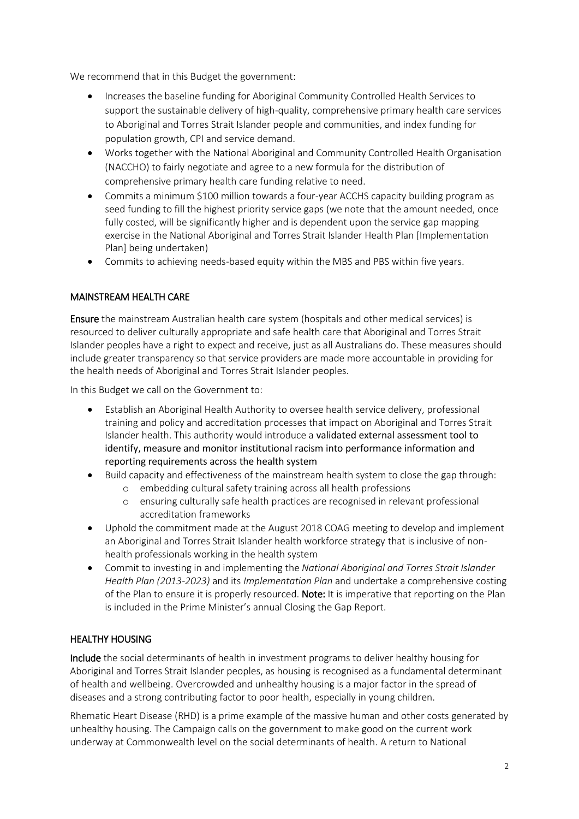We recommend that in this Budget the government:

- Increases the baseline funding for Aboriginal Community Controlled Health Services to support the sustainable delivery of high-quality, comprehensive primary health care services to Aboriginal and Torres Strait Islander people and communities, and index funding for population growth, CPI and service demand.
- Works together with the National Aboriginal and Community Controlled Health Organisation (NACCHO) to fairly negotiate and agree to a new formula for the distribution of comprehensive primary health care funding relative to need.
- Commits a minimum \$100 million towards a four-year ACCHS capacity building program as seed funding to fill the highest priority service gaps (we note that the amount needed, once fully costed, will be significantly higher and is dependent upon the service gap mapping exercise in the National Aboriginal and Torres Strait Islander Health Plan [Implementation Plan] being undertaken)
- Commits to achieving needs-based equity within the MBS and PBS within five years.

# MAINSTREAM HEALTH CARE

Ensure the mainstream Australian health care system (hospitals and other medical services) is resourced to deliver culturally appropriate and safe health care that Aboriginal and Torres Strait Islander peoples have a right to expect and receive, just as all Australians do. These measures should include greater transparency so that service providers are made more accountable in providing for the health needs of Aboriginal and Torres Strait Islander peoples.

In this Budget we call on the Government to:

- Establish an Aboriginal Health Authority to oversee health service delivery, professional training and policy and accreditation processes that impact on Aboriginal and Torres Strait Islander health. This authority would introduce a validated external assessment tool to identify, measure and monitor institutional racism into performance information and reporting requirements across the health system
- Build capacity and effectiveness of the mainstream health system to close the gap through:
	- o embedding cultural safety training across all health professions
	- o ensuring culturally safe health practices are recognised in relevant professional accreditation frameworks
- Uphold the commitment made at the August 2018 COAG meeting to develop and implement an Aboriginal and Torres Strait Islander health workforce strategy that is inclusive of nonhealth professionals working in the health system
- Commit to investing in and implementing the *National Aboriginal and Torres Strait Islander Health Plan (2013-2023)* and its *Implementation Plan* and undertake a comprehensive costing of the Plan to ensure it is properly resourced. Note: It is imperative that reporting on the Plan is included in the Prime Minister's annual Closing the Gap Report.

### HEALTHY HOUSING

Include the social determinants of health in investment programs to deliver healthy housing for Aboriginal and Torres Strait Islander peoples, as housing is recognised as a fundamental determinant of health and wellbeing. Overcrowded and unhealthy housing is a major factor in the spread of diseases and a strong contributing factor to poor health, especially in young children.

Rhematic Heart Disease (RHD) is a prime example of the massive human and other costs generated by unhealthy housing. The Campaign calls on the government to make good on the current work underway at Commonwealth level on the social determinants of health. A return to National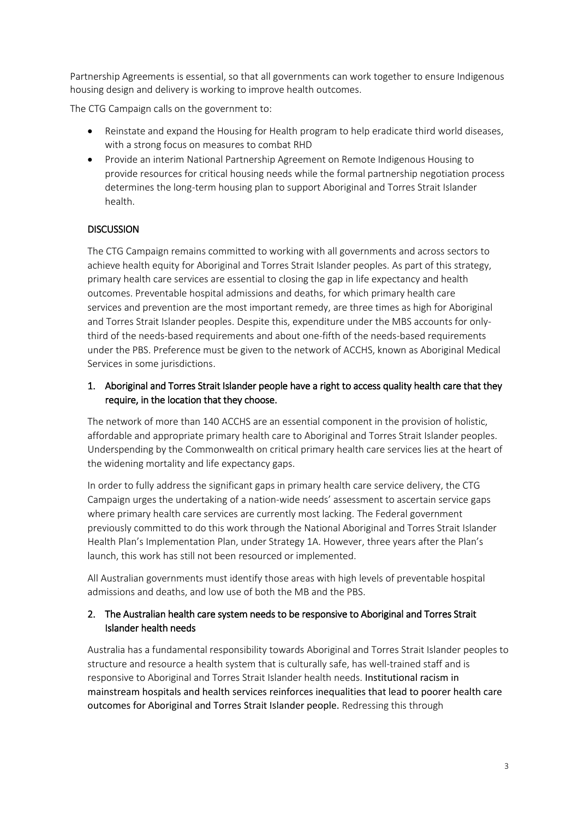Partnership Agreements is essential, so that all governments can work together to ensure Indigenous housing design and delivery is working to improve health outcomes.

The CTG Campaign calls on the government to:

- Reinstate and expand the Housing for Health program to help eradicate third world diseases, with a strong focus on measures to combat RHD
- Provide an interim National Partnership Agreement on Remote Indigenous Housing to provide resources for critical housing needs while the formal partnership negotiation process determines the long-term housing plan to support Aboriginal and Torres Strait Islander health.

# **DISCUSSION**

The CTG Campaign remains committed to working with all governments and across sectors to achieve health equity for Aboriginal and Torres Strait Islander peoples. As part of this strategy, primary health care services are essential to closing the gap in life expectancy and health outcomes. Preventable hospital admissions and deaths, for which primary health care services and prevention are the most important remedy, are three times as high for Aboriginal and Torres Strait Islander peoples. Despite this, expenditure under the MBS accounts for onlythird of the needs-based requirements and about one-fifth of the needs-based requirements under the PBS. Preference must be given to the network of ACCHS, known as Aboriginal Medical Services in some jurisdictions.

# 1. Aboriginal and Torres Strait Islander people have a right to access quality health care that they require, in the location that they choose.

The network of more than 140 ACCHS are an essential component in the provision of holistic, affordable and appropriate primary health care to Aboriginal and Torres Strait Islander peoples. Underspending by the Commonwealth on critical primary health care services lies at the heart of the widening mortality and life expectancy gaps.

In order to fully address the significant gaps in primary health care service delivery, the CTG Campaign urges the undertaking of a nation-wide needs' assessment to ascertain service gaps where primary health care services are currently most lacking. The Federal government previously committed to do this work through the National Aboriginal and Torres Strait Islander Health Plan's Implementation Plan, under Strategy 1A. However, three years after the Plan's launch, this work has still not been resourced or implemented.

All Australian governments must identify those areas with high levels of preventable hospital admissions and deaths, and low use of both the MB and the PBS.

# 2. The Australian health care system needs to be responsive to Aboriginal and Torres Strait Islander health needs

Australia has a fundamental responsibility towards Aboriginal and Torres Strait Islander peoples to structure and resource a health system that is culturally safe, has well-trained staff and is responsive to Aboriginal and Torres Strait Islander health needs. Institutional racism in mainstream hospitals and health services reinforces inequalities that lead to poorer health care outcomes for Aboriginal and Torres Strait Islander people. Redressing this through